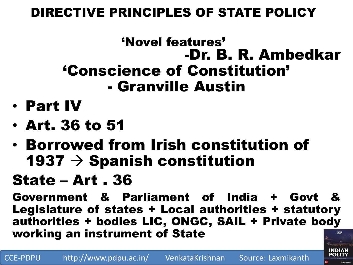## DIRECTIVE PRINCIPLES OF STATE POLICY

## 'Novel features' -Dr. B. R. Ambedkar 'Conscience of Constitution' - Granville Austin

- Part IV
- Art. 36 to 51
- Borrowed from Irish constitution of 1937  $\rightarrow$  Spanish constitution

# State – Art . 36

Government & Parliament of India + Govt Legislature of states + Local authorities + statutory authorities + bodies LIC, ONGC, SAIL + Private body working an instrument of State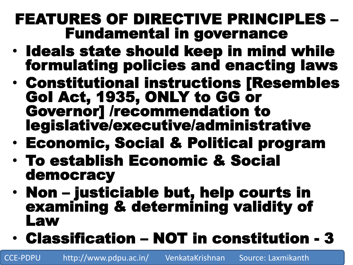## FEATURES OF DIRECTIVE PRINCIPLES – Fundamental in governance

- Ideals state should keep in mind while formulating policies and enacting laws
- Constitutional instructions [Resembles GoI Act, 1935, ONLY to GG or Governor] /recommendation to legislative/executive/administrative
- Economic, Social & Political program
- To establish Economic & Social democracy
- Non justiciable but, help courts in examining & determining validity of Law
- Classification NOT in constitution 3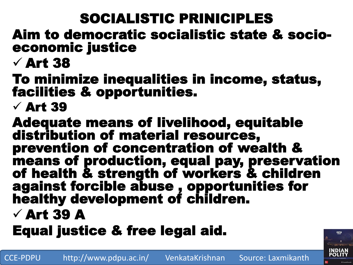# SOCIALISTIC PRINICIPLES

### Aim to democratic socialistic state & socioeconomic justice

# $\sqrt{$  Art 38

### To minimize inequalities in income, status, facilities & opportunities.

## $\checkmark$  Art 39

Adequate means of livelihood, equitable distribution of material resources, prevention of concentration of wealth & means of production, equal pay, preservation of health & strength of workers & children against forcible abuse , opportunities for healthy development of children.

## $\checkmark$  Art 39 A

# Equal justice & free legal aid.

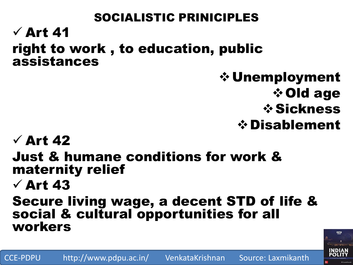### SOCIALISTIC PRINICIPLES  $\sqrt{$  Art 41 right to work , to education, public assistances

Unemployment **☆Old age** Sickness Disablement

## $\checkmark$  Art 42

Just & humane conditions for work & maternity relief

## $\sqrt{$  Art 43

#### Secure living wage, a decent STD of life & social & cultural opportunities for all workers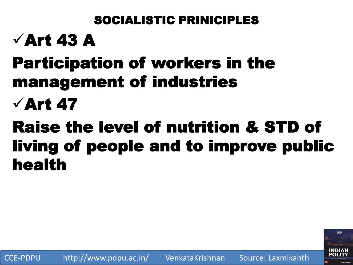## SOCIALISTIC PRINICIPLES

# $\sqrt{$  Art 43 A

# Participation of workers in the management of industries

# $\sqrt{$  Art 47

# Raise the level of nutrition & STD of living of people and to improve public health

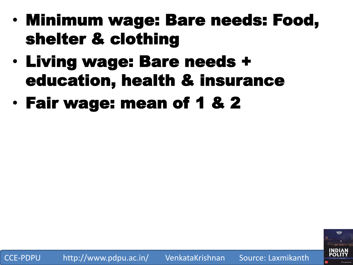- Minimum wage: Bare needs: Food, shelter & clothing
- Living wage: Bare needs + education, health & insurance
- Fair wage: mean of 1 & 2

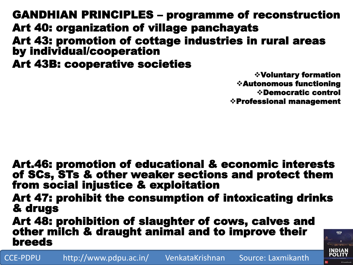GANDHIAN PRINCIPLES – programme of reconstruction Art 40: organization of village panchayats Art 43: promotion of cottage industries in rural areas by individual/cooperation Art 43B: cooperative societies

> Voluntary formation Autonomous functioning Democratic control Professional management

> > **INDIAN<br>POLITY**

Art.46: promotion of educational & economic interests of SCs, STs & other weaker sections and protect them from social injustice & exploitation

Art 47: prohibit the consumption of intoxicating drinks & drugs

Art 48: prohibition of slaughter of cows, calves and other milch & draught animal and to improve their breeds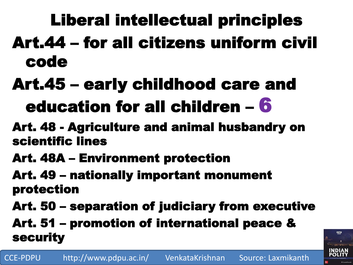# Liberal intellectual principles Art.44 – for all citizens uniform civil code

# Art.45 – early childhood care and education for all children – 6

- Art. 48 Agriculture and animal husbandry on scientific lines
- Art. 48A Environment protection
- Art. 49 nationally important monument protection
- Art. 50 separation of judiciary from executive

Art. 51 – promotion of international peace & security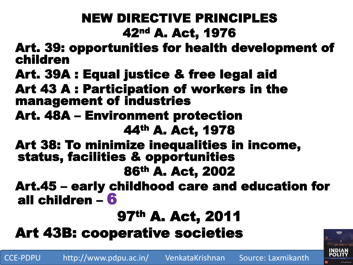## NEW DIRECTIVE PRINCIPLES 42nd A. Act, 1976

Art. 39: opportunities for health development of children

- Art. 39A : Equal justice & free legal aid
- Art 43 A : Participation of workers in the management of industries
- Art. 48A Environment protection 44th A. Act, 1978
- Art 38: To minimize inequalities in income, status, facilities & opportunities 86th A. Act, 2002
- Art.45 early childhood care and education for all children – 6

## 97th A. Act, 2011

Art 43B: cooperative societies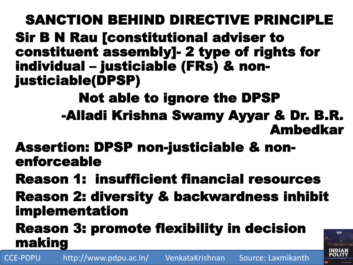SANCTION BEHIND DIRECTIVE PRINCIPLE Sir B N Rau [constitutional adviser to constituent assembly]- 2 type of rights for individual – justiciable (FRs) & nonjusticiable(DPSP)

Not able to ignore the DPSP -Alladi Krishna Swamy Ayyar & Dr. B.R. Ambedkar

Assertion: DPSP non-justiciable & nonenforceable

Reason 1: insufficient financial resources

Reason 2: diversity & backwardness inhibit implementation

Reason 3: promote flexibility in decision making

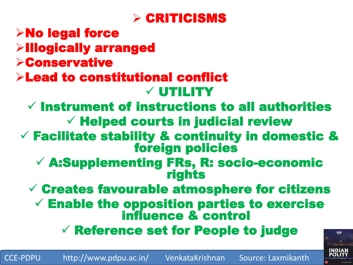

### No legal force Illogically arranged Conservative Lead to constitutional conflict UTILITY  $\checkmark$  Instrument of instructions to all authorities  $\checkmark$  Helped courts in judicial review  $\checkmark$  Facilitate stability & continuity in domestic & foreign policies A:Supplementing FRs, R: socio-economic rights  $\checkmark$  Creates favourable atmosphere for citizens  $\checkmark$  Enable the opposition parties to exercise influence & control Reference set for People to judge

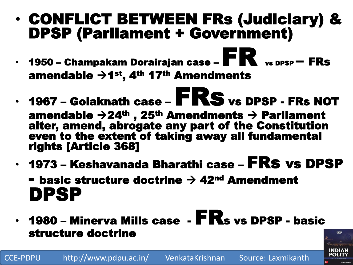## • CONFLICT BETWEEN FRs (Judiciary) & DPSP (Parliament + Government)

- 1950 Champakam Dorairajan case  $\mathbf{FR}_{\text{vs DPSP}} \mathbf{FRs}$ amendable  $\rightarrow$ 1<sup>st</sup>, 4<sup>th</sup> 17<sup>th</sup> Amendments
- $\cdot$  1967 Golaknath case  $\mathbf{FRS}$  vs DPSP FRs NOT amendable  $\rightarrow$ 24<sup>th</sup>, 25<sup>th</sup> Amendments  $\rightarrow$  Parliament alter, amend, abrogate any part of the Constitution even to the extent of taking away all fundamental rights [Article 368]
- $\cdot$  1973 Keshavanada Bharathi case  $\textsf{FRs}$  vs DPSP

**- basic structure doctrine**  $\rightarrow$  **42<sup>nd</sup> Amendment** DPSP

• 1980 – Minerva Mills case -  $\mathbf{FR}_{s}$  vs DPSP - basic structure doctrine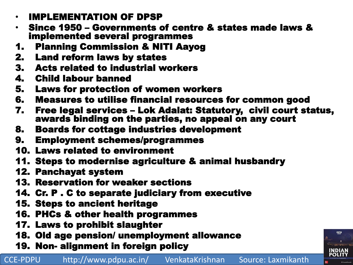- IMPLEMENTATION OF DPSP
- Since 1950 Governments of centre & states made laws & implemented several programmes
- 1. Planning Commission & NITI Aayog
- 2. Land reform laws by states
- 3. Acts related to industrial workers
- 4. Child labour banned
- 5. Laws for protection of women workers
- 6. Measures to utilise financial resources for common good
- 7. Free legal services Lok Adalat: Statutory, civil court status, awards binding on the parties, no appeal on any court
- 8. Boards for cottage industries development
- 9. Employment schemes/programmes
- 10. Laws related to environment
- 11. Steps to modernise agriculture & animal husbandry
- 12. Panchayat system
- 13. Reservation for weaker sections
- 14. Cr. P . C to separate judiciary from executive
- 15. Steps to ancient heritage
- 16. PHCs & other health programmes
- 17. Laws to prohibit slaughter
- 18. Old age pension/ unemployment allowance
- 19. Non- alignment in foreign policy